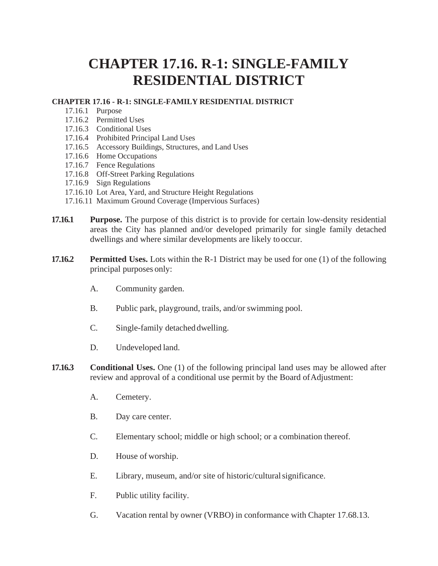## **CHAPTER 17.16. R-1: SINGLE-FAMILY RESIDENTIAL DISTRICT**

## **CHAPTER 17.16 - R-1: SINGLE-FAMILY RESIDENTIAL DISTRICT**

- 17.16.1 Purpose
- 17.16.2 Permitted Uses
- 17.16.3 Conditional Uses
- 17.16.4 Prohibited Principal Land Uses
- 17.16.5 Accessory Buildings, Structures, and Land Uses
- 17.16.6 Home Occupations
- 17.16.7 Fence Regulations
- 17.16.8 Off-Street Parking Regulations
- 17.16.9 Sign Regulations
- 17.16.10 Lot Area, Yard, and Structure Height Regulations
- 17.16.11 Maximum Ground Coverage (Impervious Surfaces)
- **17.16.1 Purpose.** The purpose of this district is to provide for certain low-density residential areas the City has planned and/or developed primarily for single family detached dwellings and where similar developments are likely tooccur.
- **17.16.2 Permitted Uses.** Lots within the R-1 District may be used for one (1) of the following principal purposes only:
	- A. Community garden.
	- B. Public park, playground, trails, and/or swimming pool.
	- C. Single-family detached dwelling.
	- D. Undeveloped land.
- **17.16.3 Conditional Uses.** One (1) of the following principal land uses may be allowed after review and approval of a conditional use permit by the Board of Adjustment:
	- A. Cemetery.
	- B. Day care center.
	- C. Elementary school; middle or high school; or a combination thereof.
	- D. House of worship.
	- E. Library, museum, and/or site of historic/culturalsignificance.
	- F. Public utility facility.
	- G. Vacation rental by owner (VRBO) in conformance with Chapter 17.68.13.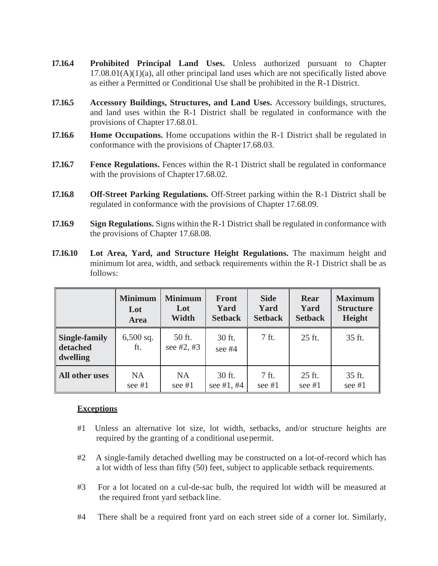- **17.16.4 Prohibited Principal Land Uses.** Unless authorized pursuant to Chapter  $17.08.01(A)(1)(a)$ , all other principal land uses which are not specifically listed above as either a Permitted or Conditional Use shall be prohibited in the R-1 District.
- **17.16.5 Accessory Buildings, Structures, and Land Uses.** Accessory buildings, structures, and land uses within the R-1 District shall be regulated in conformance with the provisions of Chapter 17.68.01.
- **17.16.6 Home Occupations.** Home occupations within the R-1 District shall be regulated in conformance with the provisions of Chapter17.68.03.
- **17.16.7 Fence Regulations.** Fences within the R-1 District shall be regulated in conformance with the provisions of Chapter 17.68.02.
- **17.16.8 Off-Street Parking Regulations.** Off-Street parking within the R-1 District shall be regulated in conformance with the provisions of Chapter 17.68.09.
- **17.16.9 Sign Regulations.** Signs within the R-1 District shall be regulated in conformance with the provisions of Chapter 17.68.08.
- **17.16.10 Lot Area, Yard, and Structure Height Regulations.** The maximum height and minimum lot area, width, and setback requirements within the R-1 District shall be as follows:

|                                              | <b>Minimum</b>     | <b>Minimum</b>         | <b>Front</b>       | <b>Side</b>    | <b>Rear</b>    | <b>Maximum</b>   |
|----------------------------------------------|--------------------|------------------------|--------------------|----------------|----------------|------------------|
|                                              | Lot                | Lot                    | Yard               | Yard           | Yard           | <b>Structure</b> |
|                                              | <b>Area</b>        | Width                  | <b>Setback</b>     | <b>Setback</b> | <b>Setback</b> | Height           |
| <b>Single-family</b><br>detached<br>dwelling | $6,500$ sq.<br>ft. | 50 ft.<br>see $#2, #3$ | 30 ft.<br>see $#4$ | 7 ft.          | 25 ft.         | 35 ft.           |
| All other uses                               | <b>NA</b>          | <b>NA</b>              | 30 ft.             | $7$ ft.        | 25 ft.         | 35 ft.           |
|                                              | see $#1$           | see #1                 | see $#1, #4$       | see $#1$       | see #1         | see $#1$         |

## **Exceptions**

- #1 Unless an alternative lot size, lot width, setbacks, and/or structure heights are required by the granting of a conditional usepermit.
- #2 A single-family detached dwelling may be constructed on a lot-of-record which has a lot width of less than fifty (50) feet, subject to applicable setback requirements.
- #3 For a lot located on a cul-de-sac bulb, the required lot width will be measured at the required front yard setback line.
- #4 There shall be a required front yard on each street side of a corner lot. Similarly,